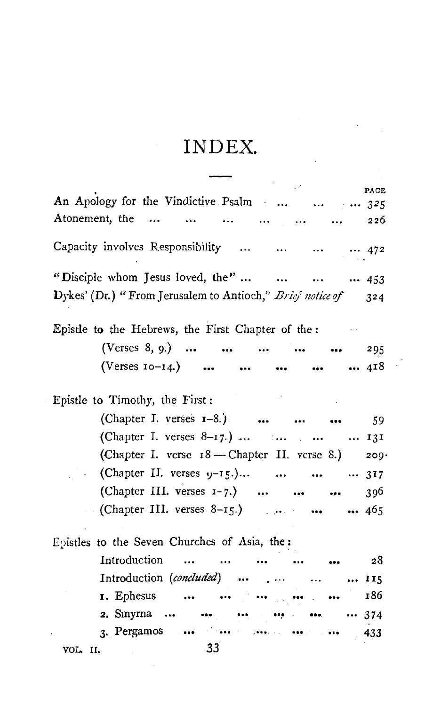## INDEX.

 $\ddot{\phantom{0}}$ 

|                                                                                                                       | PAGE |
|-----------------------------------------------------------------------------------------------------------------------|------|
| An Apology for the Vindictive Psalm    325                                                                            |      |
| Atonement, the       226                                                                                              |      |
| Capacity involves Responsibility      472                                                                             |      |
| "Disciple whom Jesus loved, the"     453                                                                              |      |
| Dykes' (Dr.) "From Jerusalem to Antioch," Brief notice of 324                                                         |      |
| Epistle to the Hebrews, the First Chapter of the:                                                                     |      |
| (Verses 8, 9.)      295                                                                                               |      |
| (Verses $10-14$ .)      118                                                                                           |      |
| $\mathcal{L}^{\text{max}}_{\text{max}}$ and $\mathcal{L}^{\text{max}}_{\text{max}}$<br>Epistle to Timothy, the First: |      |
| (Chapter I. verses 1-8.)    59                                                                                        |      |
| (Chapter I. verses $8-17.$ )     131                                                                                  |      |
| (Chapter I. verse 18 - Chapter II. verse 8.) 209                                                                      |      |
| (Chapter II. verses $y-15$ .)    317                                                                                  |      |
| (Chapter III. verses $1-7$ .)                                                                                         | 396  |
| • (Chapter III. verses $8-15$ .) • • • • • • • 465                                                                    |      |
| Epistles to the Seven Churches of Asia, the:                                                                          |      |
| Introduction<br>$\cdots$ $\cdots$                                                                                     | - 28 |
| Introduction (concluded)     115                                                                                      |      |
| <b>1.</b> Ephesus                                                                                                     | 186  |
| <b>2.</b> Smyrna        374                                                                                           |      |
| 3. Pergamos                                                                                                           | 433  |
| 33 <sup>2</sup><br>VOL. II.<br>the control of the control of                                                          |      |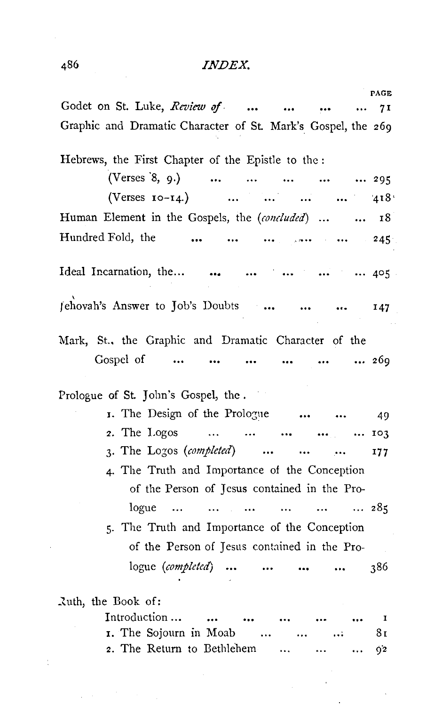## **INDEX.**

| PAGE                                                                                                                             |
|----------------------------------------------------------------------------------------------------------------------------------|
| Godet on St. Luke, Review of<br>7 I                                                                                              |
| Graphic and Dramatic Character of St. Mark's Gospel, the 269                                                                     |
|                                                                                                                                  |
| Hebrews, the First Chapter of the Epistle to the:                                                                                |
| (Verses 8, 9.)<br>295<br>$\ddotsc$<br>$\cdots$<br>$\cdots$<br>$\cdots$                                                           |
| (Verses $10-14$ .)<br>418<br>$\sim 100$ and $\sim 100$<br>$\sim$ $\sim$                                                          |
| Human Element in the Gospels, the (concluded)<br>18<br>$\ddotsc$                                                                 |
| Hundred Fold, the<br>$245 -$<br>$\sim$ $\sim$ $\sim$ $\sim$<br><br>$\lambda$ 2004 $\lambda$ 100 $\lambda$ 100 $\lambda$          |
|                                                                                                                                  |
| Ideal Incarnation, the<br>$\cdots$ 405                                                                                           |
| Jehovah's Answer to Job's Doubts<br>147                                                                                          |
| Mark, St., the Graphic and Dramatic Character of the                                                                             |
| Gospel of<br>269                                                                                                                 |
|                                                                                                                                  |
| Prologue of St. John's Gospel, the.                                                                                              |
| I. The Design of the Prologue<br>49                                                                                              |
| 2. The Logos<br>103<br>$\ddotsc$                                                                                                 |
| 3. The Logos (completed)<br>$\cdots$<br>$\cdots$<br>177                                                                          |
| 4. The Truth and Importance of the Conception                                                                                    |
| of the Person of Jesus contained in the Pro-                                                                                     |
| logue<br>285                                                                                                                     |
| $\cdots$<br>$\sim$ 100 $\sim$ 100 $\sim$<br>$\cdots$<br>$\sim$ 100 $\pm$ 100 $\pm$<br>$\sim 10^{11}$ , where<br>$\sim$ 100 $\pm$ |
| 5. The Truth and Importance of the Conception                                                                                    |
| of the Person of Jesus contained in the Pro-                                                                                     |
| logue ( <i>completed</i> )<br>386                                                                                                |
| Luth, the Book of:                                                                                                               |
| Introduction<br>I                                                                                                                |
| I. The Sojourn in Moab<br>8ι<br>                                                                                                 |

2. The Return to Bethlehem ...  $9^\mathrm{2}$  $\ddotsc$  $\ddotsc$ 

 $\bar{\mathcal{A}}$ 

 $\blacksquare$ 

 $\frac{1}{2}$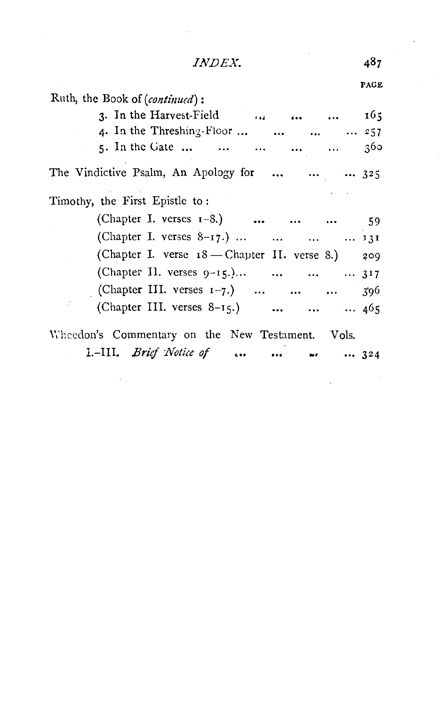|--|--|

|                                                  | PAGE |
|--------------------------------------------------|------|
| Ruth, the Book of (continued):                   |      |
| 3. In the Harvest-Field $\ldots$ 165             |      |
| 4. In the Threshing-Floor     257                |      |
| 5. In the Gate                                   | 360  |
| The Vindictive Psalm, An Apology for    325      |      |
| Timothy, the First Epistle to:                   |      |
| (Chapter I. verses 1-8.)    59                   |      |
| (Chapter I. verses $8-17$ .) $131$               |      |
| (Chapter I. verse 18 - Chapter II. verse 8.) 209 |      |
| (Chapter Il. verses 9-15.)    317                |      |
| (Chapter III. verses $1-7$ .)    396             |      |
| (Chapter III. verses 8-15.)    465               |      |
| Wheedon's Commentary on the New Testament. Vols. |      |
| I.-III. Brief Notice of   we  324                |      |

487

 $\ddot{\phantom{a}}$